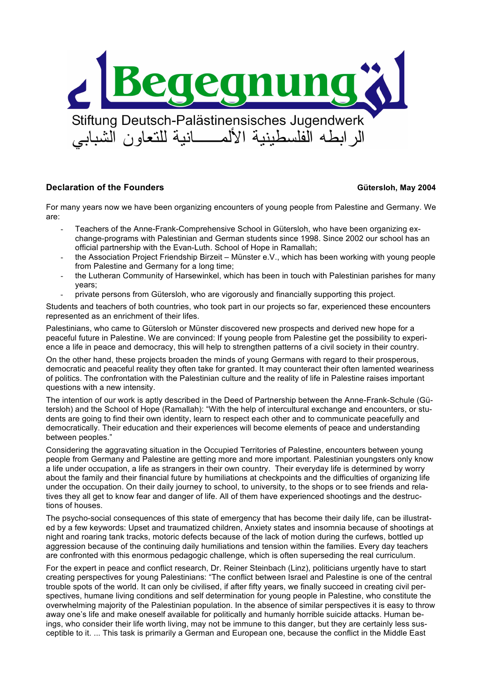

# **Declaration of the Founders Gütersloh, May 2004**

For many years now we have been organizing encounters of young people from Palestine and Germany. We are:

- Teachers of the Anne-Frank-Comprehensive School in Gütersloh, who have been organizing exchange-programs with Palestinian and German students since 1998. Since 2002 our school has an official partnership with the Evan-Luth. School of Hope in Ramallah;
- the Association Project Friendship Birzeit Münster e.V., which has been working with young people from Palestine and Germany for a long time;
- the Lutheran Community of Harsewinkel, which has been in touch with Palestinian parishes for many years;
- private persons from Gütersloh, who are vigorously and financially supporting this project.

Students and teachers of both countries, who took part in our projects so far, experienced these encounters represented as an enrichment of their lifes.

Palestinians, who came to Gütersloh or Münster discovered new prospects and derived new hope for a peaceful future in Palestine. We are convinced: If young people from Palestine get the possibility to experience a life in peace and democracy, this will help to strengthen patterns of a civil society in their country.

On the other hand, these projects broaden the minds of young Germans with regard to their prosperous, democratic and peaceful reality they often take for granted. It may counteract their often lamented weariness of politics. The confrontation with the Palestinian culture and the reality of life in Palestine raises important questions with a new intensity.

The intention of our work is aptly described in the Deed of Partnership between the Anne-Frank-Schule (Gütersloh) and the School of Hope (Ramallah): "With the help of intercultural exchange and encounters, or students are going to find their own identity, learn to respect each other and to communicate peacefully and democratically. Their education and their experiences will become elements of peace and understanding between peoples."

Considering the aggravating situation in the Occupied Territories of Palestine, encounters between young people from Germany and Palestine are getting more and more important. Palestinian youngsters only know a life under occupation, a life as strangers in their own country. Their everyday life is determined by worry about the family and their financial future by humiliations at checkpoints and the difficulties of organizing life under the occupation. On their daily journey to school, to university, to the shops or to see friends and relatives they all get to know fear and danger of life. All of them have experienced shootings and the destructions of houses.

The psycho-social consequences of this state of emergency that has become their daily life, can be illustrated by a few keywords: Upset and traumatized children, Anxiety states and insomnia because of shootings at night and roaring tank tracks, motoric defects because of the lack of motion during the curfews, bottled up aggression because of the continuing daily humiliations and tension within the families. Every day teachers are confronted with this enormous pedagogic challenge, which is often superseding the real curriculum.

For the expert in peace and conflict research, Dr. Reiner Steinbach (Linz), politicians urgently have to start creating perspectives for young Palestinians: "The conflict between Israel and Palestine is one of the central trouble spots of the world. It can only be civilised, if after fifty years, we finally succeed in creating civil perspectives, humane living conditions and self determination for young people in Palestine, who constitute the overwhelming majority of the Palestinian population. In the absence of similar perspectives it is easy to throw away one's life and make oneself available for politically and humanly horrible suicide attacks. Human beings, who consider their life worth living, may not be immune to this danger, but they are certainly less susceptible to it. ... This task is primarily a German and European one, because the conflict in the Middle East